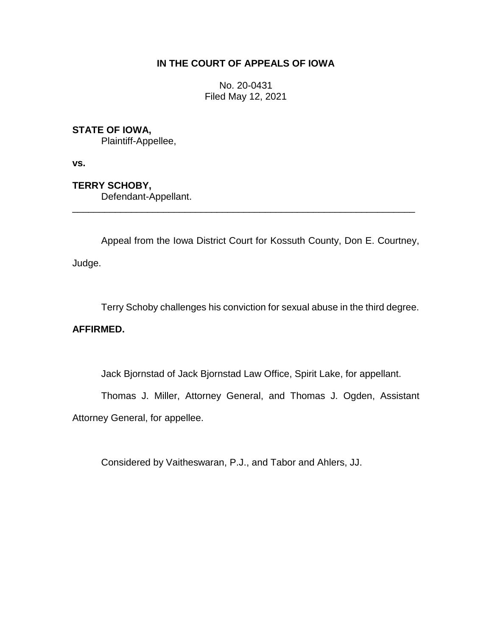## **IN THE COURT OF APPEALS OF IOWA**

No. 20-0431 Filed May 12, 2021

# **STATE OF IOWA,**

Plaintiff-Appellee,

**vs.**

**TERRY SCHOBY,** Defendant-Appellant.

Appeal from the Iowa District Court for Kossuth County, Don E. Courtney, Judge.

\_\_\_\_\_\_\_\_\_\_\_\_\_\_\_\_\_\_\_\_\_\_\_\_\_\_\_\_\_\_\_\_\_\_\_\_\_\_\_\_\_\_\_\_\_\_\_\_\_\_\_\_\_\_\_\_\_\_\_\_\_\_\_\_

Terry Schoby challenges his conviction for sexual abuse in the third degree.

## **AFFIRMED.**

Jack Bjornstad of Jack Bjornstad Law Office, Spirit Lake, for appellant.

Thomas J. Miller, Attorney General, and Thomas J. Ogden, Assistant

Attorney General, for appellee.

Considered by Vaitheswaran, P.J., and Tabor and Ahlers, JJ.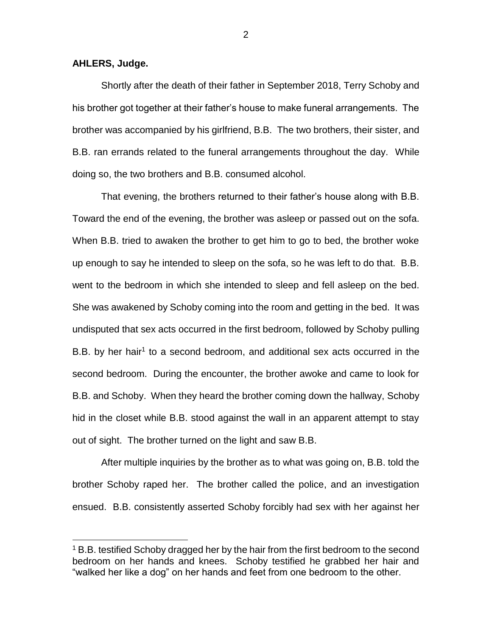### **AHLERS, Judge.**

 $\overline{a}$ 

Shortly after the death of their father in September 2018, Terry Schoby and his brother got together at their father's house to make funeral arrangements. The brother was accompanied by his girlfriend, B.B. The two brothers, their sister, and B.B. ran errands related to the funeral arrangements throughout the day. While doing so, the two brothers and B.B. consumed alcohol.

That evening, the brothers returned to their father's house along with B.B. Toward the end of the evening, the brother was asleep or passed out on the sofa. When B.B. tried to awaken the brother to get him to go to bed, the brother woke up enough to say he intended to sleep on the sofa, so he was left to do that. B.B. went to the bedroom in which she intended to sleep and fell asleep on the bed. She was awakened by Schoby coming into the room and getting in the bed. It was undisputed that sex acts occurred in the first bedroom, followed by Schoby pulling B.B. by her hair<sup>1</sup> to a second bedroom, and additional sex acts occurred in the second bedroom. During the encounter, the brother awoke and came to look for B.B. and Schoby. When they heard the brother coming down the hallway, Schoby hid in the closet while B.B. stood against the wall in an apparent attempt to stay out of sight. The brother turned on the light and saw B.B.

After multiple inquiries by the brother as to what was going on, B.B. told the brother Schoby raped her. The brother called the police, and an investigation ensued. B.B. consistently asserted Schoby forcibly had sex with her against her

2

<sup>&</sup>lt;sup>1</sup> B.B. testified Schoby dragged her by the hair from the first bedroom to the second bedroom on her hands and knees. Schoby testified he grabbed her hair and "walked her like a dog" on her hands and feet from one bedroom to the other.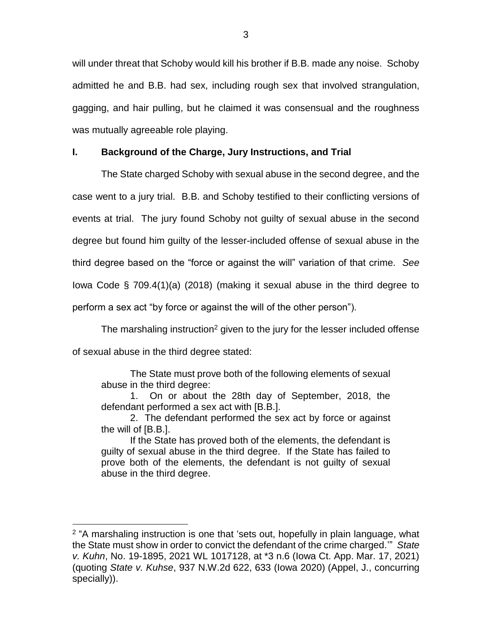will under threat that Schoby would kill his brother if B.B. made any noise. Schoby admitted he and B.B. had sex, including rough sex that involved strangulation, gagging, and hair pulling, but he claimed it was consensual and the roughness was mutually agreeable role playing.

### **I. Background of the Charge, Jury Instructions, and Trial**

The State charged Schoby with sexual abuse in the second degree, and the case went to a jury trial. B.B. and Schoby testified to their conflicting versions of events at trial. The jury found Schoby not guilty of sexual abuse in the second degree but found him guilty of the lesser-included offense of sexual abuse in the third degree based on the "force or against the will" variation of that crime. *See* Iowa Code § 709.4(1)(a) (2018) (making it sexual abuse in the third degree to perform a sex act "by force or against the will of the other person").

The marshaling instruction<sup>2</sup> given to the jury for the lesser included offense of sexual abuse in the third degree stated:

The State must prove both of the following elements of sexual abuse in the third degree:

1. On or about the 28th day of September, 2018, the defendant performed a sex act with [B.B.].

2. The defendant performed the sex act by force or against the will of [B.B.].

If the State has proved both of the elements, the defendant is guilty of sexual abuse in the third degree. If the State has failed to prove both of the elements, the defendant is not guilty of sexual abuse in the third degree.

 $\overline{a}$ 

<sup>&</sup>lt;sup>2</sup> "A marshaling instruction is one that 'sets out, hopefully in plain language, what the State must show in order to convict the defendant of the crime charged.'" *State v. Kuhn*, No. 19-1895, 2021 WL 1017128, at \*3 n.6 (Iowa Ct. App. Mar. 17, 2021) (quoting *State v. Kuhse*, 937 N.W.2d 622, 633 (Iowa 2020) (Appel, J., concurring specially)).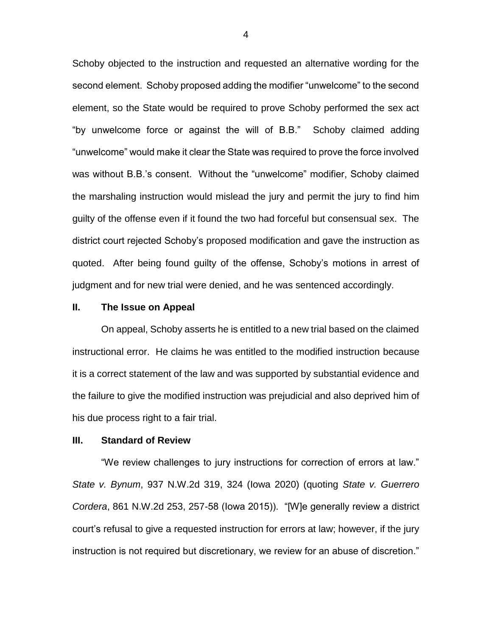Schoby objected to the instruction and requested an alternative wording for the second element. Schoby proposed adding the modifier "unwelcome" to the second element, so the State would be required to prove Schoby performed the sex act "by unwelcome force or against the will of B.B." Schoby claimed adding "unwelcome" would make it clear the State was required to prove the force involved was without B.B.'s consent. Without the "unwelcome" modifier, Schoby claimed the marshaling instruction would mislead the jury and permit the jury to find him guilty of the offense even if it found the two had forceful but consensual sex. The district court rejected Schoby's proposed modification and gave the instruction as quoted. After being found guilty of the offense, Schoby's motions in arrest of judgment and for new trial were denied, and he was sentenced accordingly.

#### **II. The Issue on Appeal**

On appeal, Schoby asserts he is entitled to a new trial based on the claimed instructional error. He claims he was entitled to the modified instruction because it is a correct statement of the law and was supported by substantial evidence and the failure to give the modified instruction was prejudicial and also deprived him of his due process right to a fair trial.

### **III. Standard of Review**

"We review challenges to jury instructions for correction of errors at law." *State v. Bynum*, 937 N.W.2d 319, 324 (Iowa 2020) (quoting *State v. Guerrero Cordera*, 861 N.W.2d 253, 257-58 (Iowa 2015)). "[W]e generally review a district court's refusal to give a requested instruction for errors at law; however, if the jury instruction is not required but discretionary, we review for an abuse of discretion."

4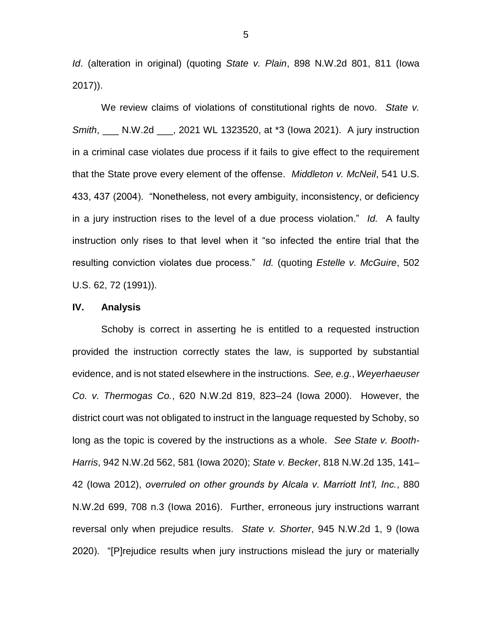*Id*. (alteration in original) (quoting *State v. Plain*, 898 N.W.2d 801, 811 (Iowa 2017)).

We review claims of violations of constitutional rights de novo. *State v. Smith*, \_\_\_ N.W.2d \_\_\_, 2021 WL 1323520, at \*3 (Iowa 2021). A jury instruction in a criminal case violates due process if it fails to give effect to the requirement that the State prove every element of the offense. *Middleton v. McNeil*, 541 U.S. 433, 437 (2004). "Nonetheless, not every ambiguity, inconsistency, or deficiency in a jury instruction rises to the level of a due process violation." *Id.* A faulty instruction only rises to that level when it "so infected the entire trial that the resulting conviction violates due process." *Id.* (quoting *Estelle v. McGuire*, 502 U.S. 62, 72 (1991)).

#### **IV. Analysis**

Schoby is correct in asserting he is entitled to a requested instruction provided the instruction correctly states the law, is supported by substantial evidence, and is not stated elsewhere in the instructions. *See, e.g.*, *Weyerhaeuser Co. v. Thermogas Co.*, 620 N.W.2d 819, 823–24 (Iowa 2000). However, the district court was not obligated to instruct in the language requested by Schoby, so long as the topic is covered by the instructions as a whole. *See State v. Booth-Harris*, 942 N.W.2d 562, 581 (Iowa 2020); *State v. Becker*, 818 N.W.2d 135, 141– 42 (Iowa 2012), *overruled on other grounds by Alcala v. Marriott Int'l, Inc.*, 880 N.W.2d 699, 708 n.3 (Iowa 2016). Further, erroneous jury instructions warrant reversal only when prejudice results. *State v. Shorter*, 945 N.W.2d 1, 9 (Iowa 2020). "[P]rejudice results when jury instructions mislead the jury or materially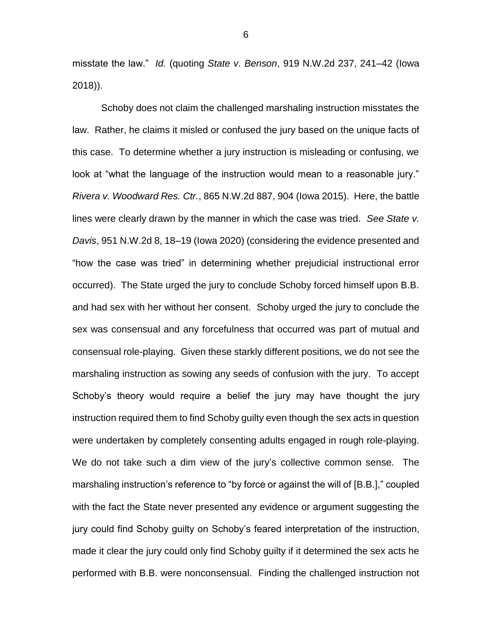misstate the law." *Id.* (quoting *State v. Benson*, 919 N.W.2d 237, 241–42 (Iowa 2018)).

Schoby does not claim the challenged marshaling instruction misstates the law. Rather, he claims it misled or confused the jury based on the unique facts of this case. To determine whether a jury instruction is misleading or confusing, we look at "what the language of the instruction would mean to a reasonable jury." *Rivera v. Woodward Res. Ctr.*, 865 N.W.2d 887, 904 (Iowa 2015). Here, the battle lines were clearly drawn by the manner in which the case was tried. *See State v. Davis*, 951 N.W.2d 8, 18–19 (Iowa 2020) (considering the evidence presented and "how the case was tried" in determining whether prejudicial instructional error occurred). The State urged the jury to conclude Schoby forced himself upon B.B. and had sex with her without her consent. Schoby urged the jury to conclude the sex was consensual and any forcefulness that occurred was part of mutual and consensual role-playing. Given these starkly different positions, we do not see the marshaling instruction as sowing any seeds of confusion with the jury. To accept Schoby's theory would require a belief the jury may have thought the jury instruction required them to find Schoby guilty even though the sex acts in question were undertaken by completely consenting adults engaged in rough role-playing. We do not take such a dim view of the jury's collective common sense. The marshaling instruction's reference to "by force or against the will of [B.B.]," coupled with the fact the State never presented any evidence or argument suggesting the jury could find Schoby guilty on Schoby's feared interpretation of the instruction, made it clear the jury could only find Schoby guilty if it determined the sex acts he performed with B.B. were nonconsensual. Finding the challenged instruction not